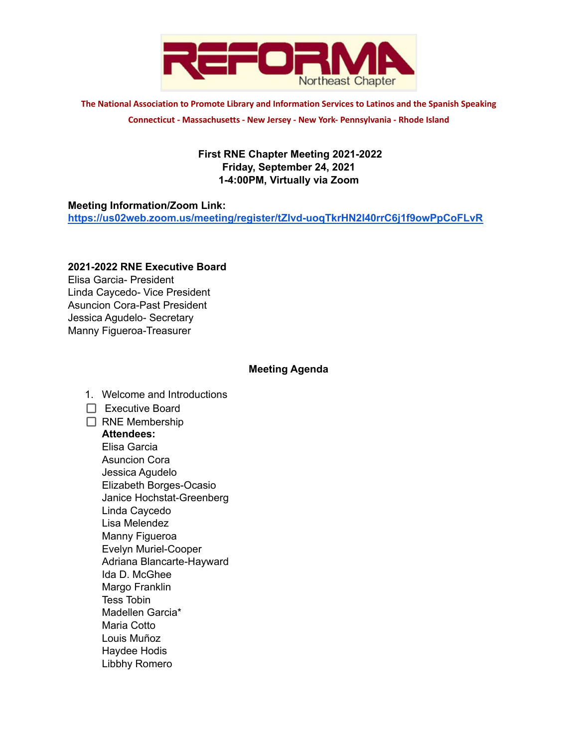

**The National Association to Promote Library and Information Services to Latinos and the Spanish Speaking Connecticut - Massachusetts - New Jersey - New York- Pennsylvania - Rhode Island**

# **First RNE Chapter Meeting 2021-2022 Friday, September 24, 2021 1-4:00PM, Virtually via Zoom**

#### **Meeting Information/Zoom Link:**

**<https://us02web.zoom.us/meeting/register/tZIvd-uoqTkrHN2l40rrC6j1f9owPpCoFLvR>**

# **2021-2022 RNE Executive Board**

Elisa Garcia- President Linda Caycedo- Vice President Asuncion Cora-Past President Jessica Agudelo- Secretary Manny Figueroa-Treasurer

## **Meeting Agenda**

- 1. Welcome and Introductions
- $\Box$  Executive Board

#### $\Box$  RNE Membership

#### **Attendees:**

Elisa Garcia Asuncion Cora Jessica Agudelo Elizabeth Borges-Ocasio Janice Hochstat-Greenberg Linda Caycedo Lisa Melendez Manny Figueroa Evelyn Muriel-Cooper Adriana Blancarte-Hayward Ida D. McGhee Margo Franklin Tess Tobin Madellen Garcia\* Maria Cotto Louis Muñoz Haydee Hodis Libbhy Romero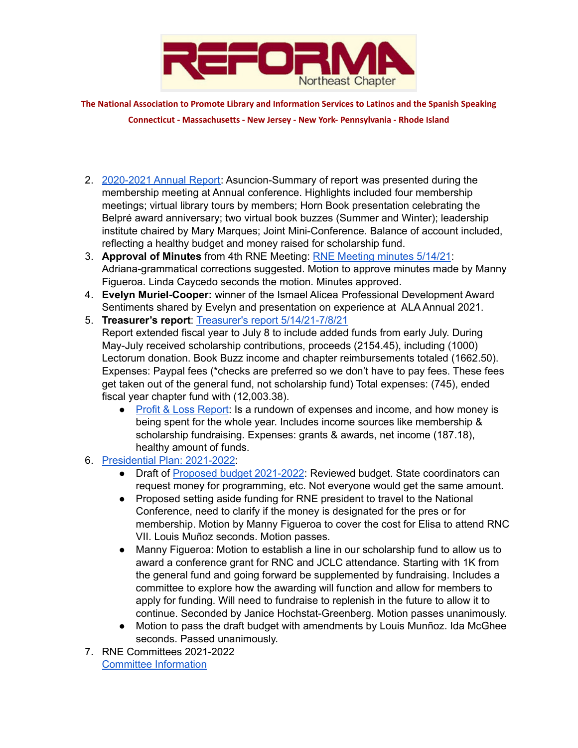

**The National Association to Promote Library and Information Services to Latinos and the Spanish Speaking Connecticut - Massachusetts - New Jersey - New York- Pennsylvania - Rhode Island**

- 2. [2020-2021](https://drive.google.com/file/d/1PVjvPb7mkPrEjvOB6Lg0CSDX1-rh6cRX/view?usp=sharing) Annual Report: Asuncion-Summary of report was presented during the membership meeting at Annual conference. Highlights included four membership meetings; virtual library tours by members; Horn Book presentation celebrating the Belpré award anniversary; two virtual book buzzes (Summer and Winter); leadership institute chaired by Mary Marques; Joint Mini-Conference. Balance of account included, reflecting a healthy budget and money raised for scholarship fund.
- 3. **Approval of Minutes** from 4th RNE Meeting: RNE [Meeting](https://docs.google.com/document/d/1e-6iCdmOE7zlxiSAky_rtemGWpBO4EDNMAFO2czUG78/edit?pli=1) minutes 5/14/21: Adriana-grammatical corrections suggested. Motion to approve minutes made by Manny Figueroa. Linda Caycedo seconds the motion. Minutes approved.
- 4. **Evelyn Muriel-Cooper:** winner of the Ismael Alicea Professional Development Award Sentiments shared by Evelyn and presentation on experience at ALA Annual 2021.
- 5. **Treasurer's report**: Treasurer's report [5/14/21-7/8/21](https://docs.google.com/document/d/1rt_8PI-dQjH6Jd7dOhWBswDx339EEkVJVLAJwUAPFjE/edit) Report extended fiscal year to July 8 to include added funds from early July. During May-July received scholarship contributions, proceeds (2154.45), including (1000) Lectorum donation. Book Buzz income and chapter reimbursements totaled (1662.50). Expenses: Paypal fees (\*checks are preferred so we don't have to pay fees. These fees get taken out of the general fund, not scholarship fund) Total expenses: (745), ended fiscal year chapter fund with (12,003.38).
	- Profit & Loss [Report](https://docs.google.com/spreadsheets/d/1xw7mlX2_jOZX3kMDSIlOg_XxpnIeHWUz/edit#gid=1848555329): Is a rundown of expenses and income, and how money is being spent for the whole year. Includes income sources like membership & scholarship fundraising. Expenses: grants & awards, net income (187.18), healthy amount of funds.
- 6. [Presidential](https://docs.google.com/document/d/1BZhyNspvDqJ0liz-1-1s3TVMvqGJkC2s_uysAjRPwBk/edit?usp=sharing) Plan: 2021-2022:
	- Draft of Proposed budget [2021-2022](https://docs.google.com/spreadsheets/d/17Huhs6-KW429PPhugC9iK6HMtfGDGjPr63fVNHy63mw/edit#gid=0): Reviewed budget. State coordinators can request money for programming, etc. Not everyone would get the same amount.
	- Proposed setting aside funding for RNE president to travel to the National Conference, need to clarify if the money is designated for the pres or for membership. Motion by Manny Figueroa to cover the cost for Elisa to attend RNC VII. Louis Muñoz seconds. Motion passes.
	- Manny Figueroa: Motion to establish a line in our scholarship fund to allow us to award a conference grant for RNC and JCLC attendance. Starting with 1K from the general fund and going forward be supplemented by fundraising. Includes a committee to explore how the awarding will function and allow for members to apply for funding. Will need to fundraise to replenish in the future to allow it to continue. Seconded by Janice Hochstat-Greenberg. Motion passes unanimously.
	- Motion to pass the draft budget with amendments by Louis Munñoz. Ida McGhee seconds. Passed unanimously.
- 7. RNE Committees 2021-2022 Committee [Information](https://www.reformanortheast.org/committees.html)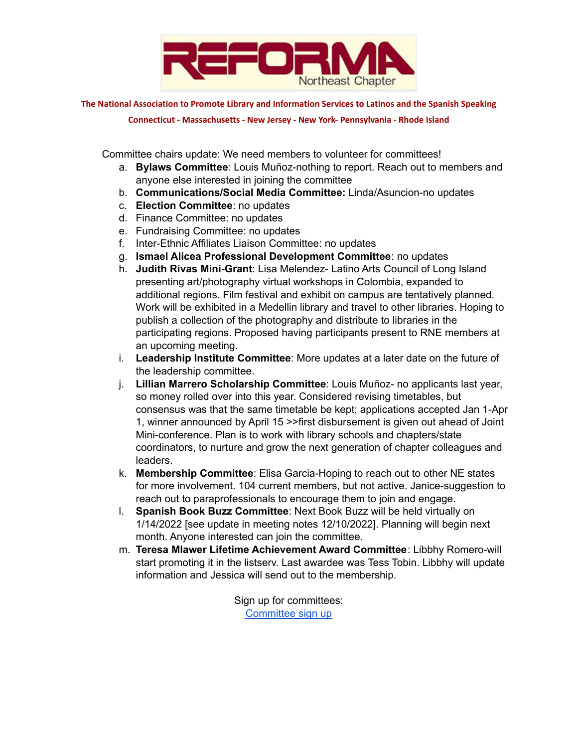

**The National Association to Promote Library and Information Services to Latinos and the Spanish Speaking**

**Connecticut - Massachusetts - New Jersey - New York- Pennsylvania - Rhode Island**

Committee chairs update: We need members to volunteer for committees!

- a. **Bylaws Committee**: Louis Muñoz-nothing to report. Reach out to members and anyone else interested in joining the committee
- b. **Communications/Social Media Committee:** Linda/Asuncion-no updates
- c. **Election Committee**: no updates
- d. Finance Committee: no updates
- e. Fundraising Committee: no updates
- f. Inter-Ethnic Affiliates Liaison Committee: no updates
- g. **Ismael Alicea Professional Development Committee**: no updates
- h. **Judith Rivas Mini-Grant**: Lisa Melendez- Latino Arts Council of Long Island presenting art/photography virtual workshops in Colombia, expanded to additional regions. Film festival and exhibit on campus are tentatively planned. Work will be exhibited in a Medellin library and travel to other libraries. Hoping to publish a collection of the photography and distribute to libraries in the participating regions. Proposed having participants present to RNE members at an upcoming meeting.
- i. **Leadership Institute Committee**: More updates at a later date on the future of the leadership committee.
- j. **Lillian Marrero Scholarship Committee**: Louis Muñoz- no applicants last year, so money rolled over into this year. Considered revising timetables, but consensus was that the same timetable be kept; applications accepted Jan 1-Apr 1, winner announced by April 15 >>first disbursement is given out ahead of Joint Mini-conference. Plan is to work with library schools and chapters/state coordinators, to nurture and grow the next generation of chapter colleagues and leaders.
- k. **Membership Committee**: Elisa Garcia-Hoping to reach out to other NE states for more involvement. 104 current members, but not active. Janice-suggestion to reach out to paraprofessionals to encourage them to join and engage.
- l. **Spanish Book Buzz Committee**: Next Book Buzz will be held virtually on 1/14/2022 [see update in meeting notes 12/10/2022]. Planning will begin next month. Anyone interested can join the committee.
- m. **Teresa Mlawer Lifetime Achievement Award Committee**: Libbhy Romero-will start promoting it in the listserv. Last awardee was Tess Tobin. Libbhy will update information and Jessica will send out to the membership.

Sign up for committees: [Committee](https://docs.google.com/spreadsheets/d/15qN5PCqrEzK0O0ISZzzOXszwozL-7M2ZG4o3kdlmhIA/edit#gid=0) sign up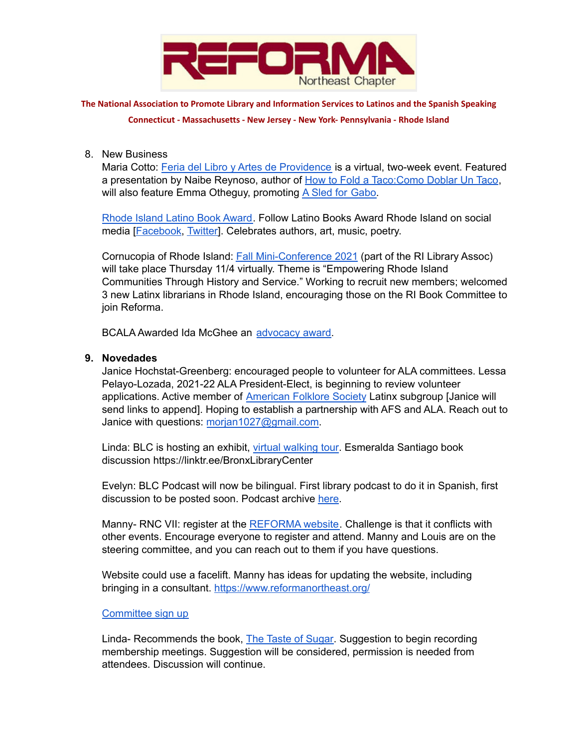

**The National Association to Promote Library and Information Services to Latinos and the Spanish Speaking**

**Connecticut - Massachusetts - New Jersey - New York- Pennsylvania - Rhode Island**

8. New Business

Maria Cotto: Feria del Libro y Artes de [Providence](https://www.provcomlib.org/FeriaProv21) is a virtual, two-week event. Featured a presentation by Naibe Reynoso, author of How to Fold a [Taco:Como](https://www.amazon.com/How-Fold-Taco-Como-Doblar/dp/1736274414?) Doblar Un Taco, will also feature Emma Otheguy, promoting A Sled for [Gabo.](https://www.amazon.com/trineo-para-Gabo-Sled-Spanish/dp/1534445838/ref=sr_1_2?crid=RYBIK6W797KA&dchild=1&keywords=a+sled+for+gabo&qid=1632788108&s=books&sprefix=a+sled+for+%2Cstripbooks%2C151&sr=1-2)

[Rhode](http://www.rilatinoarts.org/LatinoBooksAward.html) Island Latino Book Award. Follow Latino Books Award Rhode Island on social media [\[Facebook](https://www.facebook.com/LatinoBooksMonthRI/), [Twitter\]](https://twitter.com/LatinoBooksRI). Celebrates authors, art, music, poetry.

Cornucopia of Rhode Island: Fall [Mini-Conference](https://www.rilibraries.org/cori) 2021 (part of the RI Library Assoc) will take place Thursday 11/4 virtually. Theme is "Empowering Rhode Island Communities Through History and Service." Working to recruit new members; welcomed 3 new Latinx librarians in Rhode Island, encouraging those on the RI Book Committee to join Reforma.

BCALA Awarded Ida McGhee an [advocacy](https://www.bcala.org/national-conference-of-african-american-librarians-ncaal-xi-awards-and-honors-recipients-named) award.

# **9. Novedades**

Janice Hochstat-Greenberg: encouraged people to volunteer for ALA committees. Lessa Pelayo-Lozada, 2021-22 ALA President-Elect, is beginning to review volunteer applications. Active member of [American](https://americanfolkloresociety.org/) Folklore Society Latinx subgroup [Janice will send links to append]. Hoping to establish a partnership with AFS and ALA. Reach out to Janice with questions: [morjan1027@gmail.com.](mailto:morjan1027@gmail.com)

Linda: BLC is hosting an exhibit, virtual [walking](https://linktr.ee/BronxLibraryCenter) tour. Esmeralda Santiago book discussion https://linktr.ee/BronxLibraryCenter

Evelyn: BLC Podcast will now be bilingual. First library podcast to do it in Spanish, first discussion to be posted soon. Podcast archive [here](https://soundcloud.com/nypl/sets/bronx-library-centers-podcast).

Manny- RNC VII: register at the [REFORMA](https://www.reforma.org/rnc) website. Challenge is that it conflicts with other events. Encourage everyone to register and attend. Manny and Louis are on the steering committee, and you can reach out to them if you have questions.

Website could use a facelift. Manny has ideas for updating the website, including bringing in a consultant. <https://www.reformanortheast.org/>

#### [Committee](https://docs.google.com/spreadsheets/d/15qN5PCqrEzK0O0ISZzzOXszwozL-7M2ZG4o3kdlmhIA/edit#gid=0) sign up

Linda- Recommends the book, The Taste of [Sugar.](https://www.washingtonpost.com/entertainment/books/the-taste-of-sugar-offers-a-thrilling-look-at-puerto-ricos-history-through-the-tale-of-one-couples-struggle-to-survive/2020/06/22/56e26f40-b408-11ea-a510-55bf26485c93_story.html) Suggestion to begin recording membership meetings. Suggestion will be considered, permission is needed from attendees. Discussion will continue.